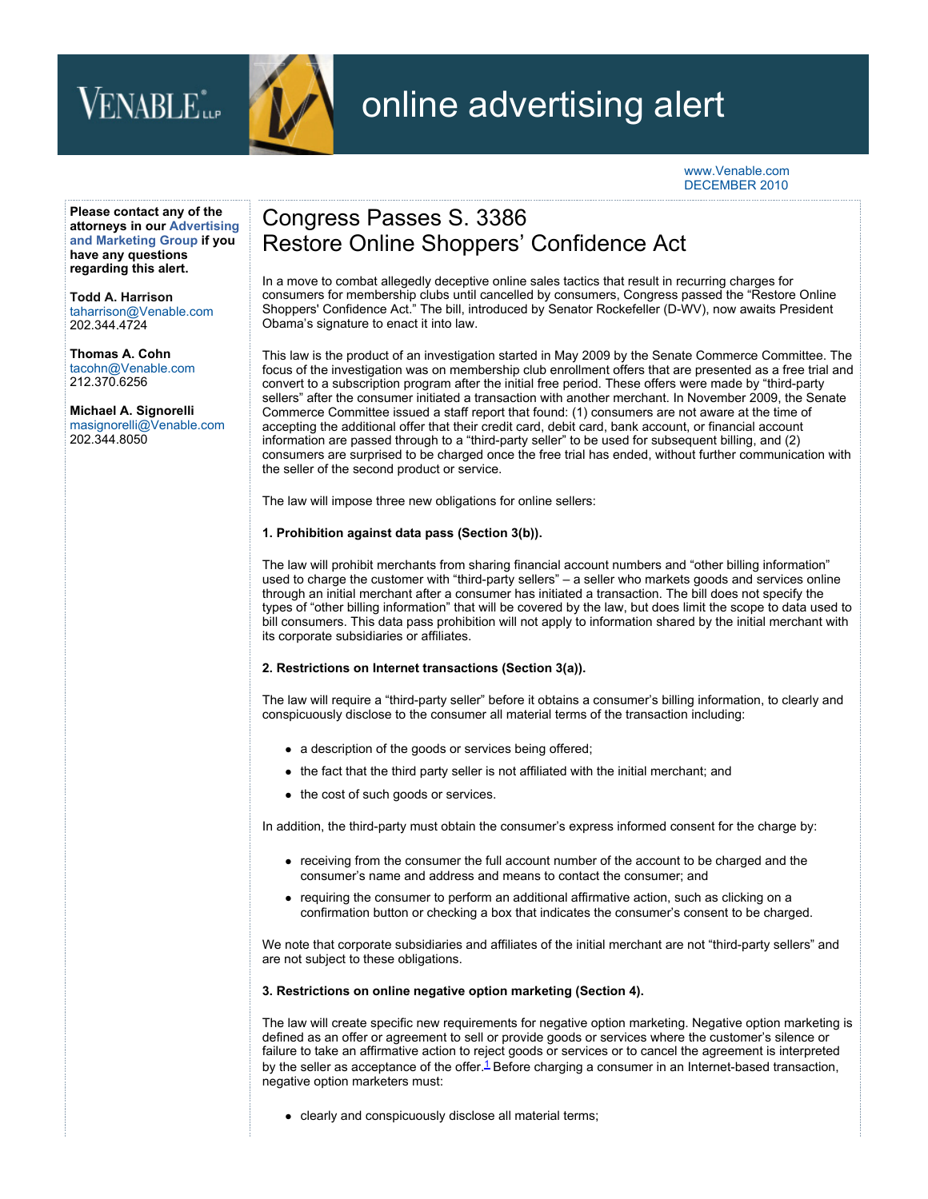# VENABLE<sup>\*</sup>



## online advertising alert

#### www.Venable.com DECEMBER 2010

**Please contact any of the [attorneys in our Advertising](http://www.venable.com/advertising-and-marketing/) and Marketing Group if you have any questions regarding this alert.** 

**[Todd A. Harrison](http://www.venable.com/todd-a-harrison/)** taharrison@Venable.com 202.344.4724

**[Thomas A. Cohn](http://www.venable.com/thomas-a-cohn/)** tacohn@Venable.com 212.370.6256

**[Michael A. Signorelli](http://www.venable.com/michael-a-signorelli/)**  masignorelli@Venable.com 202.344.8050

### Congress Passes S. 3386 Restore Online Shoppers' Confidence Act

In a move to combat allegedly deceptive online sales tactics that result in recurring charges for consumers for membership clubs until cancelled by consumers, Congress passed the "Restore Online Shoppers' Confidence Act." The bill, introduced by Senator Rockefeller (D-WV), now awaits President Obama's signature to enact it into law.

This law is the product of an investigation started in May 2009 by the Senate Commerce Committee. The focus of the investigation was on membership club enrollment offers that are presented as a free trial and convert to a subscription program after the initial free period. These offers were made by "third-party sellers" after the consumer initiated a transaction with another merchant. In November 2009, the Senate Commerce Committee issued a staff report that found: (1) consumers are not aware at the time of accepting the additional offer that their credit card, debit card, bank account, or financial account information are passed through to a "third-party seller" to be used for subsequent billing, and (2) consumers are surprised to be charged once the free trial has ended, without further communication with the seller of the second product or service.

The law will impose three new obligations for online sellers:

#### **1. Prohibition against data pass (Section 3(b)).**

The law will prohibit merchants from sharing financial account numbers and "other billing information" used to charge the customer with "third-party sellers" – a seller who markets goods and services online through an initial merchant after a consumer has initiated a transaction. The bill does not specify the types of "other billing information" that will be covered by the law, but does limit the scope to data used to bill consumers. This data pass prohibition will not apply to information shared by the initial merchant with its corporate subsidiaries or affiliates.

#### **2. Restrictions on Internet transactions (Section 3(a)).**

The law will require a "third-party seller" before it obtains a consumer's billing information, to clearly and conspicuously disclose to the consumer all material terms of the transaction including:

- a description of the goods or services being offered;
- the fact that the third party seller is not affiliated with the initial merchant; and
- the cost of such goods or services.

In addition, the third-party must obtain the consumer's express informed consent for the charge by:

- receiving from the consumer the full account number of the account to be charged and the consumer's name and address and means to contact the consumer; and
- requiring the consumer to perform an additional affirmative action, such as clicking on a confirmation button or checking a box that indicates the consumer's consent to be charged.

We note that corporate subsidiaries and affiliates of the initial merchant are not "third-party sellers" and are not subject to these obligations.

#### **3. Restrictions on online negative option marketing (Section 4).**

The law will create specific new requirements for negative option marketing. Negative option marketing is defined as an offer or agreement to sell or provide goods or services where the customer's silence or failure to take an affirmative action to reject goods or services or to cancel the agreement is interpreted by the seller as acceptance of the offer. $\frac{1}{2}$  Before charging a consumer in an Internet-based transaction, negative option marketers must:

• clearly and conspicuously disclose all material terms;